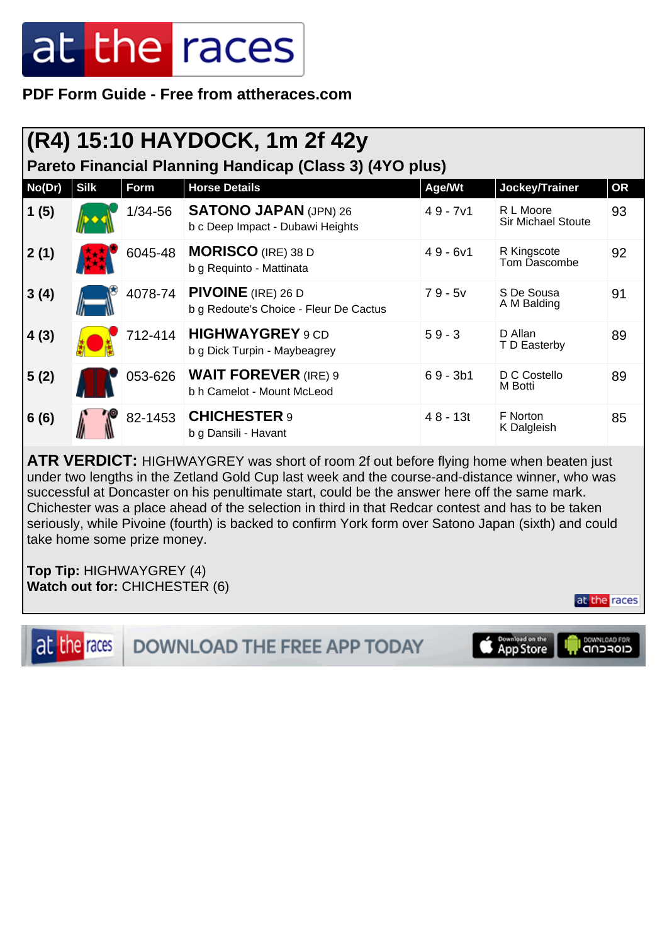**PDF Form Guide - Free from attheraces.com**

|                                                         | (R4) 15:10 HAYDOCK, 1m 2f 42y |         |                                                                     |            |                                        |           |  |  |  |
|---------------------------------------------------------|-------------------------------|---------|---------------------------------------------------------------------|------------|----------------------------------------|-----------|--|--|--|
| Pareto Financial Planning Handicap (Class 3) (4YO plus) |                               |         |                                                                     |            |                                        |           |  |  |  |
| No(Dr)                                                  | <b>Silk</b>                   | Form    | <b>Horse Details</b>                                                | Age/Wt     | Jockey/Trainer                         | <b>OR</b> |  |  |  |
| 1(5)                                                    |                               | 1/34-56 | <b>SATONO JAPAN (JPN) 26</b><br>b c Deep Impact - Dubawi Heights    | $49 - 7v1$ | R L Moore<br><b>Sir Michael Stoute</b> | 93        |  |  |  |
| 2(1)                                                    |                               | 6045-48 | <b>MORISCO</b> (IRE) 38 D<br>b g Requinto - Mattinata               | $49 - 6v1$ | R Kingscote<br>Tom Dascombe            | 92        |  |  |  |
| 3(4)                                                    |                               | 4078-74 | <b>PIVOINE</b> (IRE) 26 D<br>b g Redoute's Choice - Fleur De Cactus | $79 - 5v$  | S De Sousa<br>A M Balding              | 91        |  |  |  |
| 4(3)                                                    |                               | 712-414 | <b>HIGHWAYGREY</b> 9 CD<br>b g Dick Turpin - Maybeagrey             | $59 - 3$   | D Allan<br>T D Easterby                | 89        |  |  |  |
| 5(2)                                                    |                               | 053-626 | <b>WAIT FOREVER (IRE) 9</b><br>b h Camelot - Mount McLeod           | $69 - 3b1$ | D C Costello<br>M Botti                | 89        |  |  |  |
| 6(6)                                                    |                               | 82-1453 | <b>CHICHESTER 9</b><br>b g Dansili - Havant                         | $48 - 13t$ | F Norton<br>K Dalgleish                | 85        |  |  |  |

**ATR VERDICT:** HIGHWAYGREY was short of room 2f out before flying home when beaten just under two lengths in the Zetland Gold Cup last week and the course-and-distance winner, who was successful at Doncaster on his penultimate start, could be the answer here off the same mark. Chichester was a place ahead of the selection in third in that Redcar contest and has to be taken seriously, while Pivoine (fourth) is backed to confirm York form over Satono Japan (sixth) and could take home some prize money.

**Top Tip:** HIGHWAYGREY (4) **Watch out for:** CHICHESTER (6)



at the races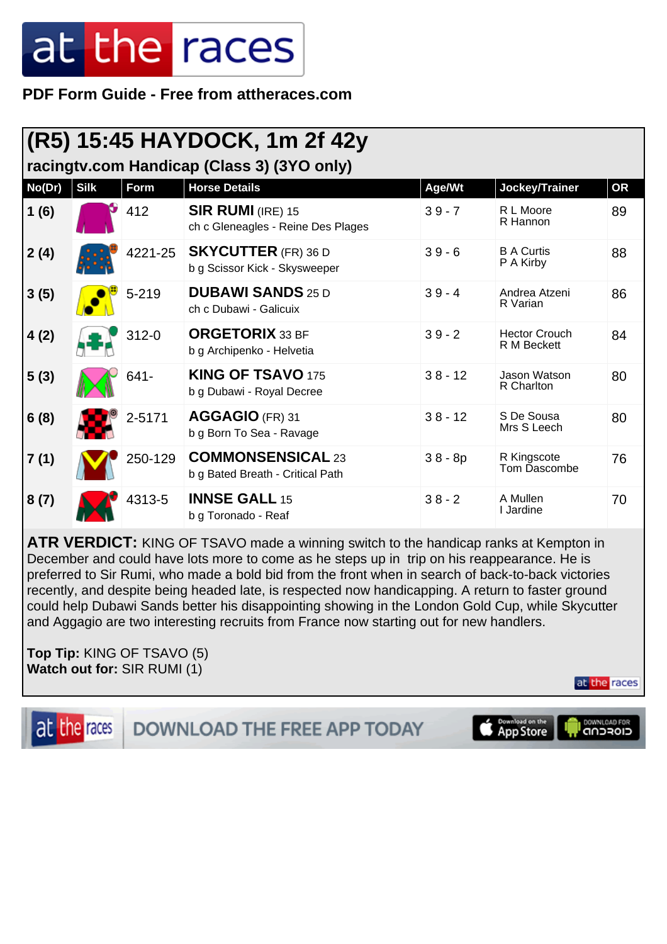**PDF Form Guide - Free from attheraces.com**

| (R5) 15:45 HAYDOCK, 1m 2f 42y              |             |           |                                                              |           |                                     |    |  |
|--------------------------------------------|-------------|-----------|--------------------------------------------------------------|-----------|-------------------------------------|----|--|
| racingtv.com Handicap (Class 3) (3YO only) |             |           |                                                              |           |                                     |    |  |
| No(Dr)                                     | <b>Silk</b> | Form      | <b>Horse Details</b>                                         | Age/Wt    | Jockey/Trainer                      | OR |  |
| 1(6)                                       |             | 412       | $SIR$ RUMI (IRE) 15<br>ch c Gleneagles - Reine Des Plages    | $39 - 7$  | R L Moore<br>R Hannon               | 89 |  |
| 2(4)                                       |             | 4221-25   | <b>SKYCUTTER</b> (FR) 36 D<br>b g Scissor Kick - Skysweeper  | $39 - 6$  | <b>B A Curtis</b><br>P A Kirby      | 88 |  |
| 3(5)                                       |             | $5 - 219$ | <b>DUBAWI SANDS 25 D</b><br>ch c Dubawi - Galicuix           | $39 - 4$  | Andrea Atzeni<br>R Varian           | 86 |  |
| 4(2)                                       |             | $312 - 0$ | <b>ORGETORIX</b> 33 BF<br>b g Archipenko - Helvetia          | $39 - 2$  | <b>Hector Crouch</b><br>R M Beckett | 84 |  |
| 5(3)                                       |             | 641-      | <b>KING OF TSAVO 175</b><br>b g Dubawi - Royal Decree        | $38 - 12$ | Jason Watson<br>R Charlton          | 80 |  |
| 6(8)                                       |             | 2-5171    | AGGAGIO (FR) 31<br>b g Born To Sea - Ravage                  | $38 - 12$ | S De Sousa<br>Mrs S Leech           | 80 |  |
| 7(1)                                       |             | 250-129   | <b>COMMONSENSICAL 23</b><br>b g Bated Breath - Critical Path | $38 - 8p$ | R Kingscote<br>Tom Dascombe         | 76 |  |
| 8(7)                                       |             | 4313-5    | <b>INNSE GALL 15</b><br>b g Toronado - Reaf                  | $38 - 2$  | A Mullen<br>I Jardine               | 70 |  |

**ATR VERDICT:** KING OF TSAVO made a winning switch to the handicap ranks at Kempton in December and could have lots more to come as he steps up in trip on his reappearance. He is preferred to Sir Rumi, who made a bold bid from the front when in search of back-to-back victories recently, and despite being headed late, is respected now handicapping. A return to faster ground could help Dubawi Sands better his disappointing showing in the London Gold Cup, while Skycutter and Aggagio are two interesting recruits from France now starting out for new handlers.

**Top Tip:** KING OF TSAVO (5) **Watch out for:** SIR RUMI (1)

at the races

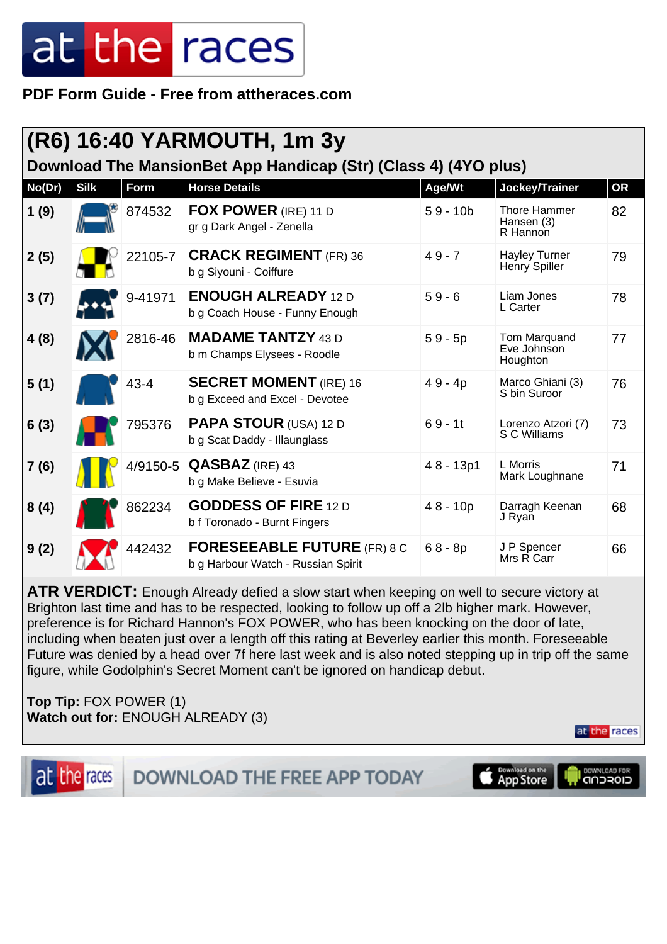**PDF Form Guide - Free from attheraces.com**

| (R6) 16:40 YARMOUTH, 1m 3y<br>Download The MansionBet App Handicap (Str) (Class 4) (4YO plus) |             |          |                                                                          |             |                                         |           |  |
|-----------------------------------------------------------------------------------------------|-------------|----------|--------------------------------------------------------------------------|-------------|-----------------------------------------|-----------|--|
| No(Dr)                                                                                        | <b>Silk</b> | Form     | <b>Horse Details</b>                                                     | Age/Wt      | Jockey/Trainer                          | <b>OR</b> |  |
| 1(9)                                                                                          |             | 874532   | <b>FOX POWER</b> (IRE) 11 D<br>gr g Dark Angel - Zenella                 | $59 - 10b$  | Thore Hammer<br>Hansen (3)<br>R Hannon  | 82        |  |
| 2(5)                                                                                          |             | 22105-7  | <b>CRACK REGIMENT</b> (FR) 36<br>b g Siyouni - Coiffure                  | $49 - 7$    | <b>Hayley Turner</b><br>Henry Spiller   | 79        |  |
| 3(7)                                                                                          |             | 9-41971  | <b>ENOUGH ALREADY 12 D</b><br>b g Coach House - Funny Enough             | $59 - 6$    | Liam Jones<br>L Carter                  | 78        |  |
| 4(8)                                                                                          |             | 2816-46  | <b>MADAME TANTZY 43 D</b><br>b m Champs Elysees - Roodle                 | $59 - 5p$   | Tom Marquand<br>Eve Johnson<br>Houghton | 77        |  |
| 5(1)                                                                                          |             | $43 - 4$ | <b>SECRET MOMENT</b> (IRE) 16<br>b g Exceed and Excel - Devotee          | $49 - 4p$   | Marco Ghiani (3)<br>S bin Suroor        | 76        |  |
| 6(3)                                                                                          |             | 795376   | <b>PAPA STOUR (USA) 12 D</b><br>b g Scat Daddy - Illaunglass             | $69 - 11$   | Lorenzo Atzori (7)<br>S C Williams      | 73        |  |
| 7(6)                                                                                          |             |          | 4/9150-5 <b>QASBAZ</b> (IRE) 43<br>b g Make Believe - Esuvia             | $48 - 13p1$ | L Morris<br>Mark Loughnane              | 71        |  |
| 8(4)                                                                                          |             | 862234   | <b>GODDESS OF FIRE 12 D</b><br>b f Toronado - Burnt Fingers              | $48 - 10p$  | Darragh Keenan<br>J Ryan                | 68        |  |
| 9(2)                                                                                          |             | 442432   | <b>FORESEEABLE FUTURE (FR) 8 C</b><br>b g Harbour Watch - Russian Spirit | $68 - 8p$   | J P Spencer<br>Mrs R Carr               | 66        |  |

**ATR VERDICT:** Enough Already defied a slow start when keeping on well to secure victory at Brighton last time and has to be respected, looking to follow up off a 2lb higher mark. However, preference is for Richard Hannon's FOX POWER, who has been knocking on the door of late, including when beaten just over a length off this rating at Beverley earlier this month. Foreseeable Future was denied by a head over 7f here last week and is also noted stepping up in trip off the same figure, while Godolphin's Secret Moment can't be ignored on handicap debut.

**Top Tip:** FOX POWER (1) **Watch out for:** ENOUGH ALREADY (3)



at the races